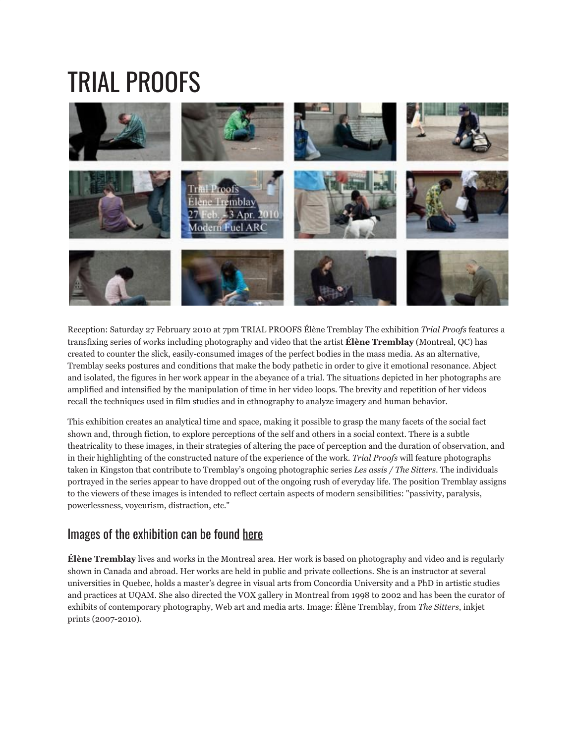## TRIAL PROOFS



Reception: Saturday 27 February 2010 at 7pm TRIAL PROOFS Élène Tremblay The exhibition *Trial Proofs* features a transfixing series of works including photography and video that the artist **Élène Tremblay** (Montreal, QC) has created to counter the slick, easily-consumed images of the perfect bodies in the mass media. As an alternative, Tremblay seeks postures and conditions that make the body pathetic in order to give it emotional resonance. Abject and isolated, the figures in her work appear in the abeyance of a trial. The situations depicted in her photographs are amplified and intensified by the manipulation of time in her video loops. The brevity and repetition of her videos recall the techniques used in film studies and in ethnography to analyze imagery and human behavior.

This exhibition creates an analytical time and space, making it possible to grasp the many facets of the social fact shown and, through fiction, to explore perceptions of the self and others in a social context. There is a subtle theatricality to these images, in their strategies of altering the pace of perception and the duration of observation, and in their highlighting of the constructed nature of the experience of the work. *Trial Proofs* will feature photographs taken in Kingston that contribute to Tremblay's ongoing photographic series *Les assis / The Sitters*. The individuals portrayed in the series appear to have dropped out of the ongoing rush of everyday life. The position Tremblay assigns to the viewers of these images is intended to reflect certain aspects of modern sensibilities: "passivity, paralysis, powerlessness, voyeurism, distraction, etc."

## Images of the exhibition can be found [here](http://www.flickr.com/photos/modernfuel/sets/72157625419565708/)

**Élène Tremblay** lives and works in the Montreal area. Her work is based on photography and video and is regularly shown in Canada and abroad. Her works are held in public and private collections. She is an instructor at several universities in Quebec, holds a master's degree in visual arts from Concordia University and a PhD in artistic studies and practices at UQAM. She also directed the VOX gallery in Montreal from 1998 to 2002 and has been the curator of exhibits of contemporary photography, Web art and media arts. Image: Élène Tremblay, from *The Sitters*, inkjet prints (2007-2010).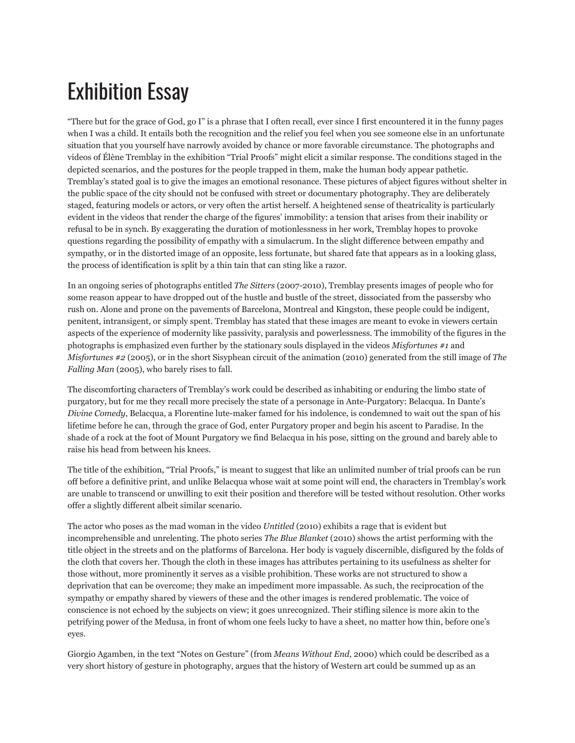## Exhibition Essay

"There but for the grace of God, go I" is a phrase that I often recall, ever since I first encountered it in the funny pages when I was a child. It entails both the recognition and the relief you feel when you see someone else in an unfortunate situation that you yourself have narrowly avoided by chance or more favorable circumstance. The photographs and videos of Élène Tremblay in the exhibition "Trial Proofs" might elicit a similar response. The conditions staged in the depicted scenarios, and the postures for the people trapped in them, make the human body appear pathetic. Tremblay's stated goal is to give the images an emotional resonance. These pictures of abject figures without shelter in the public space of the city should not be confused with street or documentary photography. They are deliberately staged, featuring models or actors, or very often the artist herself. A heightened sense of theatricality is particularly evident in the videos that render the charge of the figures' immobility: a tension that arises from their inability or refusal to be in synch. By exaggerating the duration of motionlessness in her work, Tremblay hopes to provoke questions regarding the possibility of empathy with a simulacrum. In the slight difference between empathy and sympathy, or in the distorted image of an opposite, less fortunate, but shared fate that appears as in a looking glass, the process of identification is split by a thin tain that can sting like a razor.

In an ongoing series of photographs entitled *The Sitters* (2007-2010), Tremblay presents images of people who for some reason appear to have dropped out of the hustle and bustle of the street, dissociated from the passersby who rush on. Alone and prone on the pavements of Barcelona, Montreal and Kingston, these people could be indigent, penitent, intransigent, or simply spent. Tremblay has stated that these images are meant to evoke in viewers certain aspects of the experience of modernity like passivity, paralysis and powerlessness. The immobility of the figures in the photographs is emphasized even further by the stationary souls displayed in the videos *Misfortunes #1* and *Misfortunes #2* (2005), or in the short Sisyphean circuit of the animation (2010) generated from the still image of *The Falling Man* (2005), who barely rises to fall.

The discomforting characters of Tremblay's work could be described as inhabiting or enduring the limbo state of purgatory, but for me they recall more precisely the state of a personage in Ante-Purgatory: Belacqua. In Dante's *Divine Comedy*, Belacqua, a Florentine lute-maker famed for his indolence, is condemned to wait out the span of his lifetime before he can, through the grace of God, enter Purgatory proper and begin his ascent to Paradise. In the shade of a rock at the foot of Mount Purgatory we find Belacqua in his pose, sitting on the ground and barely able to raise his head from between his knees.

The title of the exhibition, "Trial Proofs," is meant to suggest that like an unlimited number of trial proofs can be run off before a definitive print, and unlike Belacqua whose wait at some point will end, the characters in Tremblay's work are unable to transcend or unwilling to exit their position and therefore will be tested without resolution. Other works offer a slightly different albeit similar scenario.

The actor who poses as the mad woman in the video *Untitled* (2010) exhibits a rage that is evident but incomprehensible and unrelenting. The photo series *The Blue Blanket* (2010) shows the artist performing with the title object in the streets and on the platforms of Barcelona. Her body is vaguely discernible, disfigured by the folds of the cloth that covers her. Though the cloth in these images has attributes pertaining to its usefulness as shelter for those without, more prominently it serves as a visible prohibition. These works are not structured to show a deprivation that can be overcome; they make an impediment more impassable. As such, the reciprocation of the sympathy or empathy shared by viewers of these and the other images is rendered problematic. The voice of conscience is not echoed by the subjects on view; it goes unrecognized. Their stifling silence is more akin to the petrifying power of the Medusa, in front of whom one feels lucky to have a sheet, no matter how thin, before one's eyes.

Giorgio Agamben, in the text "Notes on Gesture" (from *Means Without End*, 2000) which could be described as a very short history of gesture in photography, argues that the history of Western art could be summed up as an